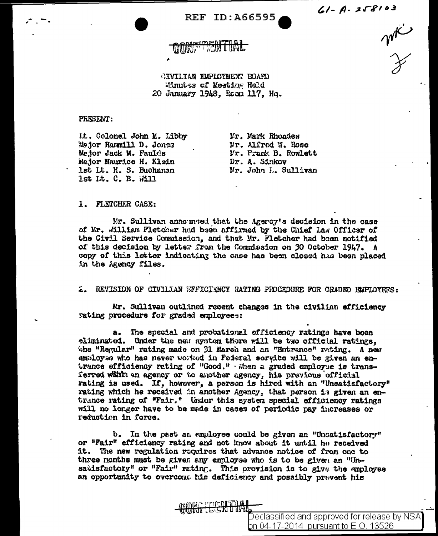$61 - A - 258103$ 

mic

**REF ID:A66595** 

CONFIDENTIAL

CIVILIAN EMPLOYMENT BOARD Minutes of Mosting Held 20 January 1948, Room 117, Hq.

PRESENT:

Lt. Colonel John M. Libby Mejor Hammill D. Jones Mejor Jack M. Faulds Major Maurice H. Klein 1st Lt. H. S. Buchanan lst Lt. C. B. Will

Mr. Mark Rhoades Nr. Alfred W. Rose Mr. Frank B. Rowlett Dr. A. Sinkov Mr. John L. Sullivan

### 1. FLETCHER CASE:

Mr. Sullivan announced that the Agercy's decision in the case of Mr. William Fletcher had been affirmed by the Chief Law Officer of the Civil Service Commission, and that Mr. Fletcher had been notified of this decision by letter from the Commission on 30 October 1947. A copy of this letter indicating the case has been closed has been placed in the Agency files.

2. REVISION OF CIVILIAN EFFICIENCY RATING PROCEDURE FOR GRADEO EMPLOYEFS:

Mr. Sullivan outlined recent changes in the civilian efficiency rating procedure for graded employees:

The special and probational efficiency ratings have been a. eliminated. Under the new system there will be two official ratings. the "Regular" rating made on 31 March and an "Entrance" rating. A new employee who has never worked in Foderal service will be given an entrance efficiency rating of "Good." When a graded employee is transferred within an agency or to another agency, his previous official rating is used. If, however, a person is hired with an "Unsatisfactory" rating which he received in another Agency, that person is given an entrance rating of "Fair." Under this system special efficiency ratings will no longer have to be made in cases of periodic pay increases or reduction in force.

b. In the past an employee could be given an "Unsatisfactory" or "Fair" efficiency rating and not know about it until he received it. The new regulation requires that advance notice of from one to three nonths must be given any employee who is to be given an "Unsatisfactory" or "Fair" rating. This provision is to give the employee an opportunity to overcome his deficiency and possibly prevent his

**MITHAL SHIPPING** 

Declassified and approved for release by NSA **b**n 04-17-2014 pursuant to E.O. 13526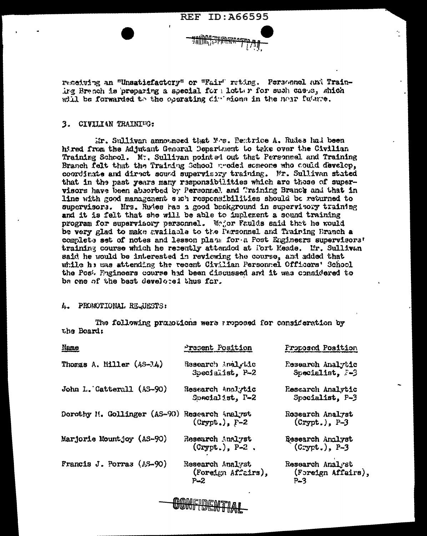

receiving an "Unsatisfactory" or "Fair" reting. Personnel and Training Branch is preparing a special for ligtter for such cases, which will be forwarded to the operating divisions in the near future.

# 3. CIVILIAN TRAINIEG:

Mr. Sullivan announced that Mrs. Rentrice A. Rudss had been hj.red from the Adjutant General Department to take over the Civilian Training School. M., Sullivan pointed out that Personnel and Training Branch felt that the Training School needed someone who could develop. coordinate and direct sound supervisory training. Mr. Sullivan stated that in the past years many responsibilities which are those of supervisors have been absorbed by Personnel, and Training Branch and that in line with good management such responsibilities should be returned to supervisors. Mrs. Rudes has a good background in supervisory training and it is felt that she will be able to implement a sound training program for supervisory personnel. Modor Faulds said that he would be very glad to make available to the Personnel and Training Branch a complete set of notes and lesson place for a Post Engineers supervisors' training course which he recently attended at fort Meade. Mr. Sullivan said he would be interested in reviewing the course, and added that while he was attending the recent Civilian Personnel Officers' School the Post Prgineers course had been discussed and it was considered to be one of the best develored thus far.

# 4. PROMOTIONAL REQUESTS:

The following promotions were arpposed for consideration by the Beard:

| Present Position                                                                | Proposed Position                    |
|---------------------------------------------------------------------------------|--------------------------------------|
| Research indighic                                                               | Research Analytic                    |
| Specialist, P-2                                                                 | Specialist, 3-3                      |
| Research Analytic                                                               | Rescarch Analytic                    |
| Spacialist, P-2                                                                 | Specialist. P-3                      |
| Dorothy M. Gollinger (AS-90)<br>Research Analyst<br>$(c_{\text{type}})$ , $F-2$ | Rosearch Analyst<br>$(Crypt.)$ , P-3 |
| Research Analyst                                                                | Research Analyst                     |
| $(crypt.), P-2.$                                                                | $(Crypt.)$ , $P-3$                   |
| Research Analyst                                                                | Research Analyst                     |
| (Foreign Affairs),                                                              | (Foreign Affairs                     |
| $P - 2$                                                                         | $P - 3$                              |
|                                                                                 |                                      |

⟩,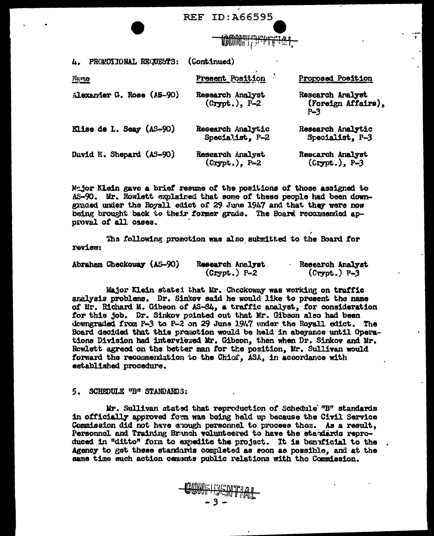

| PROMOTIONAL REQUESTS:<br>4. | (Continued)                          |                                                 |
|-----------------------------|--------------------------------------|-------------------------------------------------|
| <b>Ngmo</b>                 | Present Position                     | <b>Proposed Position</b>                        |
| Alexander G. Rose (AS-90)   | Research Analyst<br>$(Crypt.)$ , P-2 | Research Analyst<br>(Foreign Affairs),<br>$P-3$ |
| Elise de L. Seay (AS-90)    | Research Analytic<br>Specialist, P-2 | Research Analytic<br>Specialist. P-3            |
| David H. Shepard (AS-90)    | Research Analyst<br>$(crypt.)$ , P-2 | Rescarch Analyst<br>$(Crypt.)$ , $P-3$          |

Major Klein gave a brief resume of the positions of those assigned to AS-90. Mr. Rowlett explained that some of these people had been downgraded under the Royall edict of 29 June 1947 and that they were now being brought back to their former grade. The Board recommended approval of all cases.

The following promotion was also submitted to the Board for review:

| Abraham Checkoway (AS-90) | Research Analyst | Research Analyst |
|---------------------------|------------------|------------------|
|                           | $(Crypt.) P-2$   | $(Crypt.) P-3$   |

Major Klein stated that Mr. Checkoway was working on traffic analysis problems. Dr. Sinkov said he would like to present the name of Mr. Richard M. Gibson of AS-84, a traffic analyst, for consideration for this job. Dr. Sinkov pointed out that Mr. Gibson also had been downgraded from P-3 to P-2 on 29 Juns 1947 under the Royall edict. The Board decided that this promotion would be held in abeyance until Operations Division had interviewed Mr. Gibson, then when Dr. Sinkov and Mr. Rewlett agreed on the better man for the position, Mr. Sullivan would forward the recommendation to the Chiof. ASA, in accordance with established procedure.

#### 5. SCHEDULE "B" STANDARDS:

Mr. Sullivan atated that reproduction of Schedule "B" standards in officially approved form was being held up because the Civil Service Commission did not have chough personnel to process them. As a result, Personnal and Training Branch volunteered to have the standards reproduced in "ditto" form to expedite the project. It is benaficial to the Agency to get these standards completed as soon as possible, and at the same time such action cements public relations with the Commission.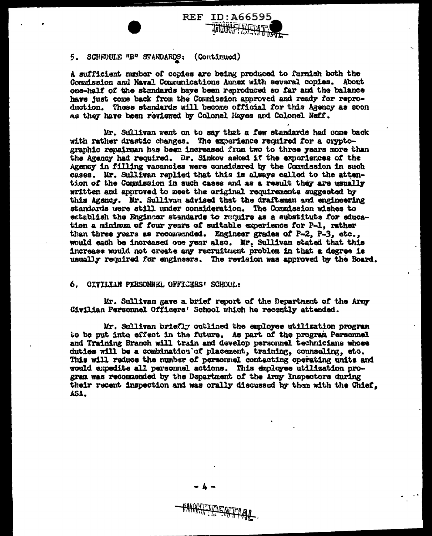

## 5. SCHEQULE "B" STANDARDS: (Continued)

A sufficient number of copies are being produced to furnish both the Commission and Naval Communications Annex with several copies. About one-half of the standards have been reproduced so far and the balance have just come back from the Commission approved and ready for reproduction. These standards will become official for this Agency as soon as they have been reviewed by Colonel Haves and Colonel Neff.

Mr. Sullivan went on to say that a few standards had come back with rather drastic changes. The experience required for a cryptographic repairman has been increased from two to three years more than the Agency had required. Dr. Sinkov asked if the experiences of the Agency in filling vacancies were considered by the Commission in such cases. Mr. Sullivan replied that this is always called to the attention of the Commission in such cases and as a result they are usually written and approved to meet the original requirements suggested by this Agency. Mr. Sullivan advised that the draftsman and engineering standards were still under consideration. The Commission wishes to establish the Enginger standards to require as a substitute for education a minimum of four years of suitable experience for P-1, rather than three years as recommended. Engineer grades of P-2. P-3. etc.. would each be increased one year also. Mr. Sullivan stated that this increase would not create any recruitment problem in that a degree is usually required for engineers. The revision was approved by the Board.

### 6. CIVILIAN PERSONNEL OFFICERS' SCHOOL:

Mr. Sullivan gave a brief report of the Department of the Army Civilian Personnel Officers' School which he recently attended.

Mr. Sullivan briefly outlined the employee utilization program to be put into effect in the future. As part of the program Personnel and Training Branch will train and develop personnel technicians whose duties will be a combination of placement, training, counseling, etc. This will reduce the number of personnel contacting operating units and would expedite all personnel actions. This employee utilisation program was recommended by the Department of the Army Inspectors during their recent inspection and was orally discussed by them with the Chief. ASA.

**HANTEDENTIAL**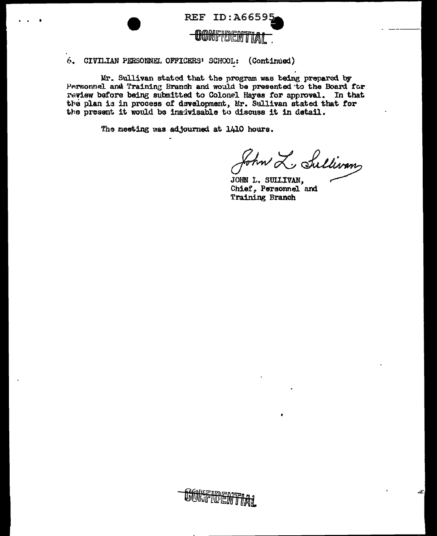

#### 6. CIVILIAN PERSONNEL OFFICERS' SCHOOL: (Continued)

Mr. Sullivan stated that the program was being prepared by Personnel and Training Branch and would be presented to the Board for review before being submitted to Colonel Hayes for approval. In that the plan is in process of development, Mr. Sullivan stated that for the present it would be inadvisable to discuss it in detail.

The meeting was adjourned at 1410 hours.

John L. Sullivans

JOHN L. SUILIVAN, Chief, Personnel and Training Branch